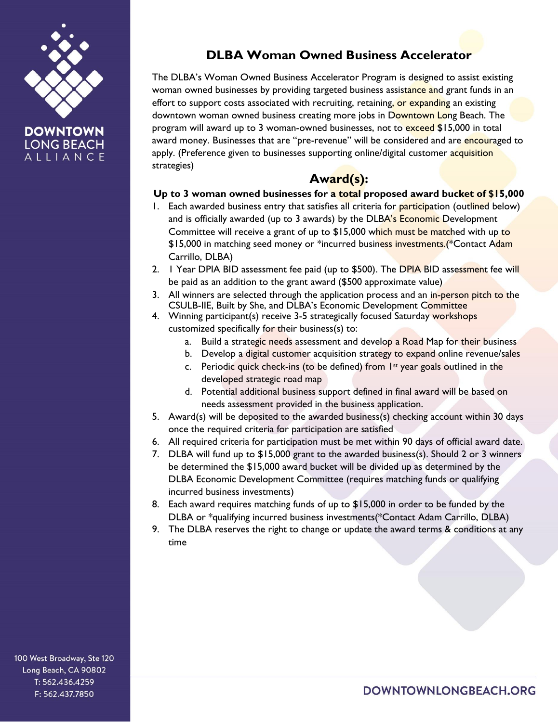

# **DOWNTOWN LONG BEACH** ALLIANCE

# **DLBA Woman Owned Business Accelerator**

The DLBA's Woman Owned Business Accelerator Program is designed to assist existing woman owned businesses by providing targeted business assistance and grant funds in an effort to support costs associated with recruiting, retaining, or expanding an existing downtown woman owned business creating more jobs in Downtown Long Beach. The program will award up to 3 woman-owned businesses, not to exceed \$15,000 in total award money. Businesses that are "pre-revenue" will be considered and are encouraged to apply. (Preference given to businesses supporting online/digital customer acquisition strategies)

# **Award(s):**

### **Up to 3 woman owned businesses for a total proposed award bucket of \$15,000**

- 1. Each awarded business entry that satisfies all criteria for participation (outlined below) and is officially awarded (up to 3 awards) by the DLBA's Economic Development Committee will receive a grant of up to \$15,000 which must be matched with up to \$15,000 in matching seed money or \*incurred business investments.(\*Contact Adam Carrillo, DLBA)
- 2. I Year DPIA BID assessment fee paid (up to \$500). The DPIA BID assessment fee will be paid as an addition to the grant award (\$500 approximate value)
- 3. All winners are selected through the application process and an in-person pitch to the CSULB-IIE, Built by She, and DLBA's Economic Development Committee
- 4. Winning participant(s) receive 3-5 strategically focused Saturday workshops customized specifically for their business(s) to:
	- a. Build a strategic needs assessment and develop a Road Map for their business
	- b. Develop a digital customer acquisition strategy to expand online revenue/sales
	- c. Periodic quick check-ins (to be defined) from  $1st$  year goals outlined in the developed strategic road map
	- d. Potential additional business support defined in final award will be based on needs assessment provided in the business application.
- 5. Award(s) will be deposited to the awarded business(s) checking account within 30 days once the required criteria for participation are satisfied
- 6. All required criteria for participation must be met within 90 days of official award date.
- 7. DLBA will fund up to \$15,000 grant to the awarded business(s). Should 2 or 3 winners be determined the \$15,000 award bucket will be divided up as determined by the DLBA Economic Development Committee (requires matching funds or qualifying incurred business investments)
- 8. Each award requires matching funds of up to \$15,000 in order to be funded by the DLBA or \*qualifying incurred business investments(\*Contact Adam Carrillo, DLBA)
- 9. The DLBA reserves the right to change or update the award terms & conditions at any time

100 West Broadway, Ste 120 Long Beach, CA 90802 T: 562.436.4259 F: 562.437.7850

DOWNTOWNLONGBEACH.ORG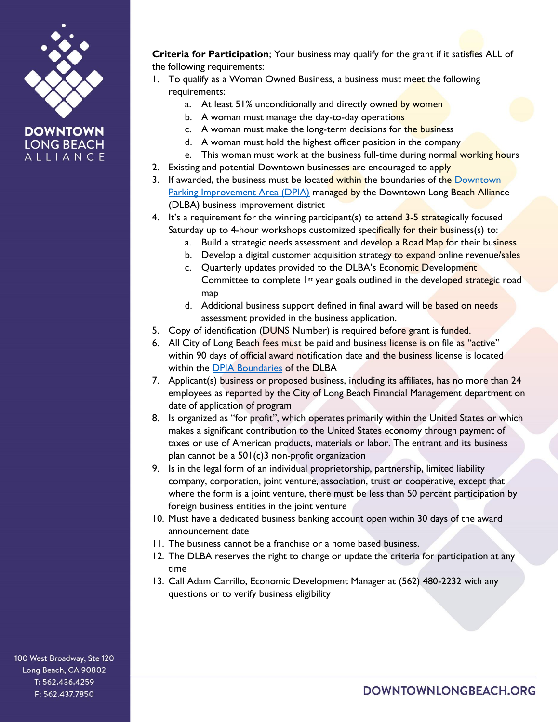

## **DOWNTOWN LONG BEACH** ALLIANCE

**Criteria for Participation**; Your business may qualify for the grant if it satisfies ALL of the following requirements:

- 1. To qualify as a Woman Owned Business, a business must meet the following requirements:
	- a. At least 51% unconditionally and directly owned by women
	- b. A woman must manage the day-to-day operations
	- c. A woman must make the long-term decisions for the business
	- d. A woman must hold the highest officer position in the company
	- e. This woman must work at the business full-time during normal working hours
- 2. Existing and potential Downtown businesses are encouraged to apply
- 3. If awarded, the business must be located within the boundaries of the Downtown [Parking Improvement Area \(DPIA\)](https://downtownlongbeach.org/wp-content/uploads/2017/01/DPIA-MAP.pdf) managed by the Downtown Long Beach Alliance (DLBA) business improvement district
- 4. It's a requirement for the winning participant(s) to attend 3-5 strategically focused Saturday up to 4-hour workshops customized specifically for their business(s) to:
	- a. Build a strategic needs assessment and develop a Road Map for their business
	- b. Develop a digital customer acquisition strategy to expand online revenue/sales
	- c. Quarterly updates provided to the DLBA's Economic Development Committee to complete 1st year goals outlined in the developed strategic road map
	- d. Additional business support defined in final award will be based on needs assessment provided in the business application.
- 5. Copy of identification (DUNS Number) is required before grant is funded.
- 6. All City of Long Beach fees must be paid and business license is on file as "active" within 90 days of official award notification date and the business license is located within the [DPIA Boundaries](https://downtownlongbeach.org/wp-content/uploads/2017/01/DPIA-MAP.pdf) of the DLBA
- 7. Applicant(s) business or proposed business, including its affiliates, has no more than 24 employees as reported by the City of Long Beach Financial Management department on date of application of program
- 8. Is organized as "for profit", which operates primarily within the United States or which makes a significant contribution to the United States economy through payment of taxes or use of American products, materials or labor. The entrant and its business plan cannot be a 501(c)3 non-profit organization
- 9. Is in the legal form of an individual proprietorship, partnership, limited liability company, corporation, joint venture, association, trust or cooperative, except that where the form is a joint venture, there must be less than 50 percent participation by foreign business entities in the joint venture
- 10. Must have a dedicated business banking account open within 30 days of the award announcement date
- 11. The business cannot be a franchise or a home based business.
- 12. The DLBA reserves the right to change or update the criteria for participation at any time
- 13. Call Adam Carrillo, Economic Development Manager at (562) 480-2232 with any questions or to verify business eligibility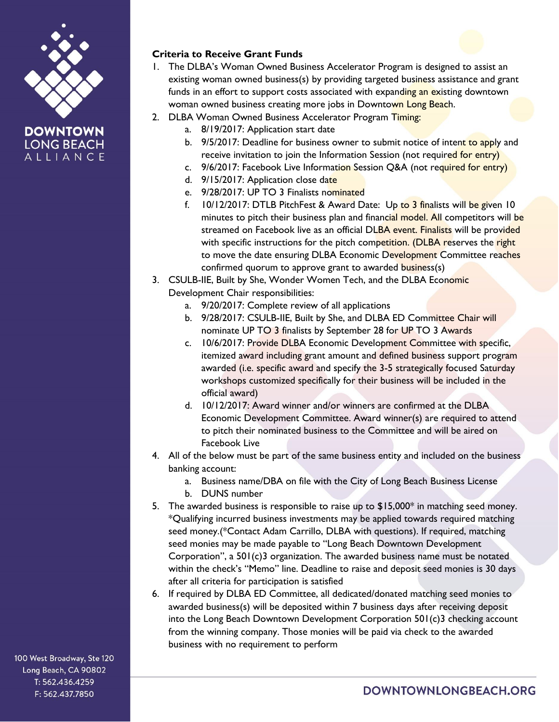



# **Criteria to Receive Grant Funds**

- 1. The DLBA's Woman Owned Business Accelerator Program is designed to assist an existing woman owned business(s) by providing targeted business assistance and grant funds in an effort to support costs associated with expanding an existing downtown woman owned business creating more jobs in Downtown Long Beach.
- 2. DLBA Woman Owned Business Accelerator Program Timing:
	- a. 8/19/2017: Application start date
	- b. 9/5/2017: Deadline for business owner to submit notice of intent to apply and receive invitation to join the Information Session (not required for entry)
	- c. 9/6/2017: Facebook Live Information Session Q&A (not required for entry)
	- d. 9/15/2017: Application close date
	- e. 9/28/2017: UP TO 3 Finalists nominated
	- f. 10/12/2017: DTLB PitchFest & Award Date: Up to 3 finalists will be given 10 minutes to pitch their business plan and financial model. All competitors will be streamed on Facebook live as an official DLBA event. Finalists will be provided with specific instructions for the pitch competition. (DLBA reserves the right to move the date ensuring DLBA Economic Development Committee reaches confirmed quorum to approve grant to awarded business(s)
- 3. CSULB-IIE, Built by She, Wonder Women Tech, and the DLBA Economic Development Chair responsibilities:
	- a. 9/20/2017: Complete review of all applications
	- b. 9/28/2017: CSULB-IIE, Built by She, and DLBA ED Committee Chair will nominate UP TO 3 finalists by September 28 for UP TO 3 Awards
	- c. 10/6/2017: Provide DLBA Economic Development Committee with specific, itemized award including grant amount and defined business support program awarded (i.e. specific award and specify the 3-5 strategically focused Saturday workshops customized specifically for their business will be included in the official award)
	- d. 10/12/2017: Award winner and/or winners are confirmed at the DLBA Economic Development Committee. Award winner(s) are required to attend to pitch their nominated business to the Committee and will be aired on Facebook Live
- 4. All of the below must be part of the same business entity and included on the business banking account:
	- a. Business name/DBA on file with the City of Long Beach Business License
	- b. DUNS number
- 5. The awarded business is responsible to raise up to \$15,000\* in matching seed money. \*Qualifying incurred business investments may be applied towards required matching seed money.(\*Contact Adam Carrillo, DLBA with questions). If required, matching seed monies may be made payable to "Long Beach Downtown Development Corporation", a 501(c)3 organization. The awarded business name must be notated within the check's "Memo" line. Deadline to raise and deposit seed monies is 30 days after all criteria for participation is satisfied
- 6. If required by DLBA ED Committee, all dedicated/donated matching seed monies to awarded business(s) will be deposited within 7 business days after receiving deposit into the Long Beach Downtown Development Corporation 501(c)3 checking account from the winning company. Those monies will be paid via check to the awarded business with no requirement to perform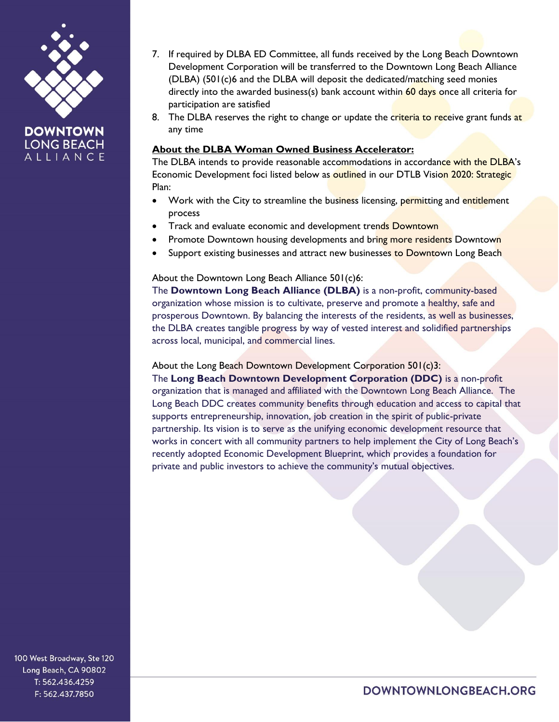



- 7. If required by DLBA ED Committee, all funds received by the Long Beach Downtown Development Corporation will be transferred to the Downtown Long Beach Alliance (DLBA) (501(c)6 and the DLBA will deposit the dedicated/matching seed monies directly into the awarded business(s) bank account within  $60 \text{ days}$  once all criteria for participation are satisfied
- 8. The DLBA reserves the right to change or update the criteria to receive grant funds at any time

### **About the DLBA Woman Owned Business Accelerator:**

The DLBA intends to provide reasonable accommodations in accordance with the DLBA's Economic Development foci listed below as outlined in our DTLB Vision 2020: Strategic Plan:

- Work with the City to streamline the business licensing, permitting and entitlement process
- Track and evaluate economic and development trends Downtown
- Promote Downtown housing developments and bring more residents Downtown
- Support existing businesses and attract new businesses to Downtown Long Beach

### About the Downtown Long Beach Alliance 501(c)6:

The **Downtown Long Beach Alliance (DLBA)** is a non-profit, community-based organization whose mission is to cultivate, preserve and promote a healthy, safe and prosperous Downtown. By balancing the interests of the residents, as well as businesses, the DLBA creates tangible progress by way of vested interest and solidified partnerships across local, municipal, and commercial lines.

#### About the Long Beach Downtown Development Corporation 501(c)3:

The **Long Beach Downtown Development Corporation (DDC)** is a non-profit organization that is managed and affiliated with the Downtown Long Beach Alliance. The Long Beach DDC creates community benefits through education and access to capital that supports entrepreneurship, innovation, job creation in the spirit of public-private partnership. Its vision is to serve as the unifying economic development resource that works in concert with all community partners to help implement the City of Long Beach's recently adopted Economic Development Blueprint, which provides a foundation for private and public investors to achieve the community's mutual objectives.